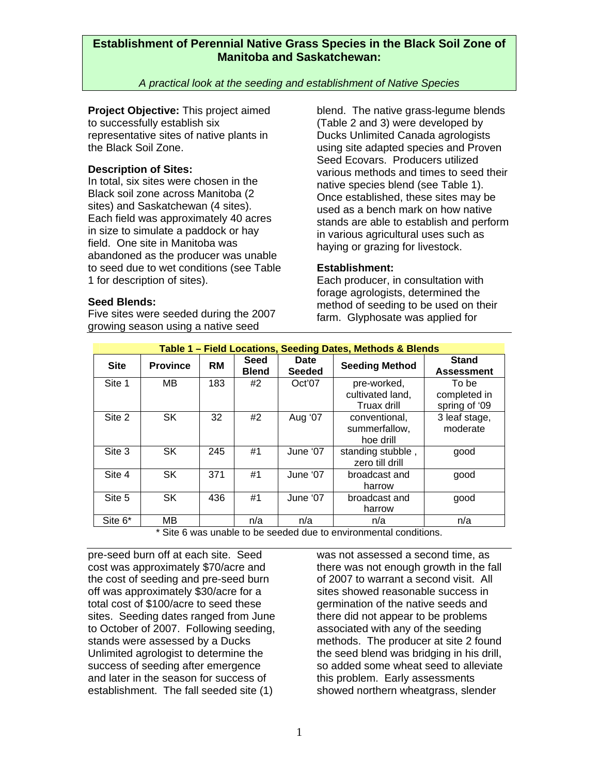### *A practical look at the seeding and establishment of Native Species*

**Project Objective:** This project aimed to successfully establish six representative sites of native plants in the Black Soil Zone.

### **Description of Sites:**

In total, six sites were chosen in the Black soil zone across Manitoba (2 sites) and Saskatchewan (4 sites). Each field was approximately 40 acres in size to simulate a paddock or hay field. One site in Manitoba was abandoned as the producer was unable to seed due to wet conditions (see Table 1 for description of sites).

blend. The native grass-legume blends (Table 2 and 3) were developed by Ducks Unlimited Canada agrologists using site adapted species and Proven Seed Ecovars. Producers utilized various methods and times to seed their native species blend (see Table 1). Once established, these sites may be used as a bench mark on how native stands are able to establish and perform in various agricultural uses such as haying or grazing for livestock.

#### **Establishment:**

Each producer, in consultation with forage agrologists, determined the method of seeding to be used on their farm. Glyphosate was applied for

| <b>Seed Blends:</b> |
|---------------------|
|                     |

Five sites were seeded during the 2007 growing season using a native seed

| Table 1 - Field Locations, Seeding Dates, Methods & Blends |                 |           |                      |                       |                                                |                                        |
|------------------------------------------------------------|-----------------|-----------|----------------------|-----------------------|------------------------------------------------|----------------------------------------|
| <b>Site</b>                                                | <b>Province</b> | <b>RM</b> | Seed<br><b>Blend</b> | Date<br><b>Seeded</b> | <b>Seeding Method</b>                          | Stand<br><b>Assessment</b>             |
| Site 1                                                     | МB              | 183       | #2                   | Oct'07                | pre-worked,<br>cultivated land,<br>Truax drill | To be<br>completed in<br>spring of '09 |
| Site 2                                                     | <b>SK</b>       | 32        | #2                   | Aug '07               | conventional,<br>summerfallow,<br>hoe drill    | 3 leaf stage,<br>moderate              |
| Site 3                                                     | <b>SK</b>       | 245       | #1                   | June '07              | standing stubble,<br>zero till drill           | good                                   |
| Site 4                                                     | SK.             | 371       | #1                   | June '07              | broadcast and<br>harrow                        | good                                   |
| Site 5                                                     | SK.             | 436       | #1                   | June '07              | broadcast and<br>harrow                        | good                                   |
| Site 6 <sup>*</sup>                                        | MВ              |           | n/a                  | n/a                   | n/a                                            | n/a                                    |

\* Site 6 was unable to be seeded due to environmental conditions.

pre-seed burn off at each site. Seed cost was approximately \$70/acre and the cost of seeding and pre-seed burn off was approximately \$30/acre for a total cost of \$100/acre to seed these sites. Seeding dates ranged from June to October of 2007. Following seeding, stands were assessed by a Ducks Unlimited agrologist to determine the success of seeding after emergence and later in the season for success of establishment. The fall seeded site (1)

was not assessed a second time, as there was not enough growth in the fall of 2007 to warrant a second visit. All sites showed reasonable success in germination of the native seeds and there did not appear to be problems associated with any of the seeding methods. The producer at site 2 found the seed blend was bridging in his drill, so added some wheat seed to alleviate this problem. Early assessments showed northern wheatgrass, slender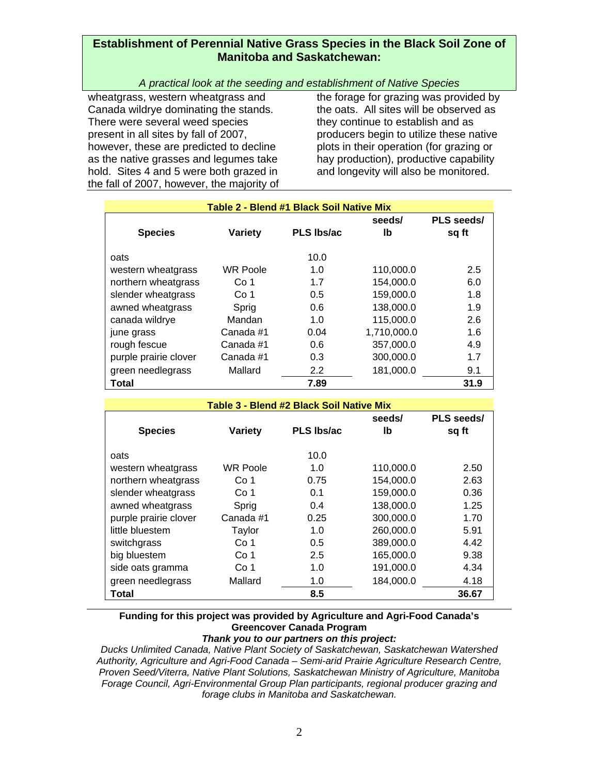## *A practical look at the seeding and establishment of Native Species*

wheatgrass, western wheatgrass and Canada wildrye dominating the stands. There were several weed species present in all sites by fall of 2007, however, these are predicted to decline as the native grasses and legumes take hold. Sites 4 and 5 were both grazed in the fall of 2007, however, the majority of the forage for grazing was provided by the oats. All sites will be observed as they continue to establish and as producers begin to utilize these native plots in their operation (for grazing or hay production), productive capability and longevity will also be monitored.

| <b>Table 2 - Blend #1 Black Soil Native Mix</b> |                 |                   |             |            |  |  |  |
|-------------------------------------------------|-----------------|-------------------|-------------|------------|--|--|--|
|                                                 |                 |                   | seeds/      | PLS seeds/ |  |  |  |
| <b>Species</b>                                  | Variety         | <b>PLS Ibs/ac</b> | Ib          | sq ft      |  |  |  |
|                                                 |                 |                   |             |            |  |  |  |
| oats                                            |                 | 10.0              |             |            |  |  |  |
| western wheatgrass                              | <b>WR Poole</b> | 1.0               | 110,000.0   | 2.5        |  |  |  |
| northern wheatgrass                             | Co 1            | 1.7               | 154,000.0   | 6.0        |  |  |  |
| slender wheatgrass                              | Co 1            | 0.5               | 159,000.0   | 1.8        |  |  |  |
| awned wheatgrass                                | Sprig           | 0.6               | 138,000.0   | 1.9        |  |  |  |
| canada wildrye                                  | Mandan          | 1.0               | 115,000.0   | 2.6        |  |  |  |
| june grass                                      | Canada #1       | 0.04              | 1,710,000.0 | 1.6        |  |  |  |
| rough fescue                                    | Canada #1       | 0.6               | 357,000.0   | 4.9        |  |  |  |
| purple prairie clover                           | Canada #1       | 0.3               | 300,000.0   | 1.7        |  |  |  |
| green needlegrass                               | Mallard         | $2.2^{\circ}$     | 181,000.0   | 9.1        |  |  |  |
| Total                                           |                 | 7.89              |             | 31.9       |  |  |  |

| Table 3 - Blend #2 Black Soil Native Mix |                 |                   |           |            |  |  |  |
|------------------------------------------|-----------------|-------------------|-----------|------------|--|--|--|
|                                          |                 |                   | seeds/    | PLS seeds/ |  |  |  |
| <b>Species</b>                           | <b>Variety</b>  | <b>PLS Ibs/ac</b> | Ib        | sq ft      |  |  |  |
|                                          |                 |                   |           |            |  |  |  |
| oats                                     |                 | 10.0              |           |            |  |  |  |
| western wheatgrass                       | <b>WR Poole</b> | 1.0               | 110,000.0 | 2.50       |  |  |  |
| northern wheatgrass                      | Co 1            | 0.75              | 154,000.0 | 2.63       |  |  |  |
| slender wheatgrass                       | Co 1            | 0.1               | 159,000.0 | 0.36       |  |  |  |
| awned wheatgrass                         | Sprig           | 0.4               | 138,000.0 | 1.25       |  |  |  |
| purple prairie clover                    | Canada #1       | 0.25              | 300,000.0 | 1.70       |  |  |  |
| little bluestem                          | Taylor          | 1.0               | 260,000.0 | 5.91       |  |  |  |
| switchgrass                              | Co 1            | 0.5               | 389,000.0 | 4.42       |  |  |  |
| big bluestem                             | Co 1            | 2.5               | 165,000.0 | 9.38       |  |  |  |
| side oats gramma                         | Co 1            | 1.0               | 191,000.0 | 4.34       |  |  |  |
| green needlegrass                        | Mallard         | 1.0               | 184,000.0 | 4.18       |  |  |  |
| Total                                    |                 | 8.5               |           | 36.67      |  |  |  |

## **Funding for this project was provided by Agriculture and Agri-Food Canada's Greencover Canada Program**

#### *Thank you to our partners on this project:*

*Ducks Unlimited Canada, Native Plant Society of Saskatchewan, Saskatchewan Watershed Authority, Agriculture and Agri-Food Canada – Semi-arid Prairie Agriculture Research Centre, Proven Seed/Viterra, Native Plant Solutions, Saskatchewan Ministry of Agriculture, Manitoba Forage Council, Agri-Environmental Group Plan participants, regional producer grazing and forage clubs in Manitoba and Saskatchewan.*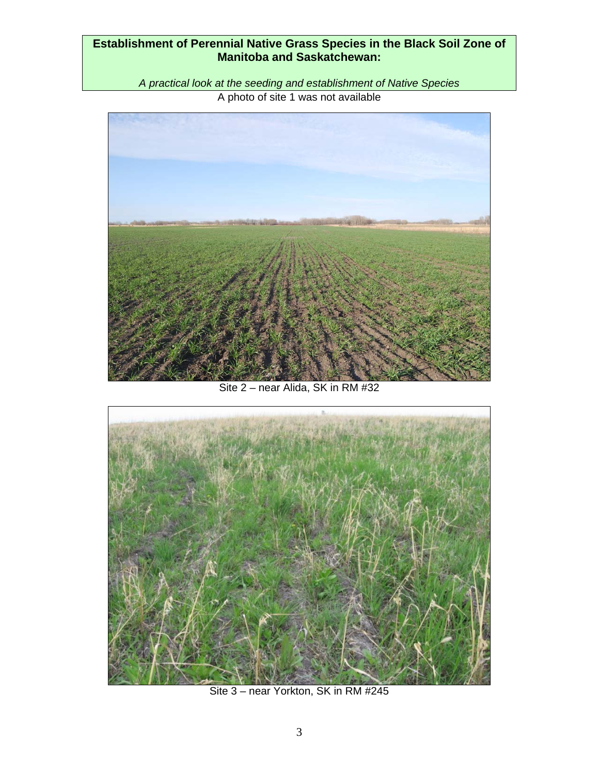*A practical look at the seeding and establishment of Native Species*  A photo of site 1 was not available



Site 2 – near Alida, SK in RM #32



Site 3 – near Yorkton, SK in RM #245